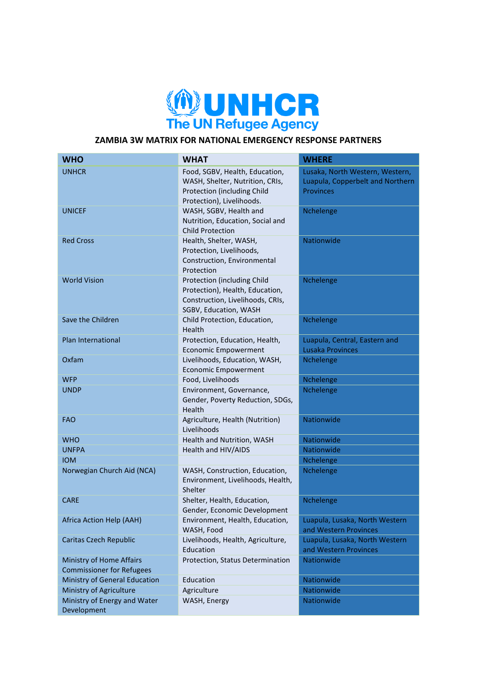

## **ZAMBIA 3W MATRIX FOR NATIONAL EMERGENCY RESPONSE PARTNERS**

| <b>WHO</b>                                                   | <b>WHAT</b>                                                                                                                   | <b>WHERE</b>                                                                            |
|--------------------------------------------------------------|-------------------------------------------------------------------------------------------------------------------------------|-----------------------------------------------------------------------------------------|
| <b>UNHCR</b>                                                 | Food, SGBV, Health, Education,<br>WASH, Shelter, Nutrition, CRIs,<br>Protection (including Child<br>Protection), Livelihoods. | Lusaka, North Western, Western,<br>Luapula, Copperbelt and Northern<br><b>Provinces</b> |
| <b>UNICEF</b>                                                | WASH, SGBV, Health and<br>Nutrition, Education, Social and<br><b>Child Protection</b>                                         | Nchelenge                                                                               |
| <b>Red Cross</b>                                             | Health, Shelter, WASH,<br>Protection, Livelihoods,<br>Construction, Environmental<br>Protection                               | Nationwide                                                                              |
| <b>World Vision</b>                                          | Protection (including Child<br>Protection), Health, Education,<br>Construction, Livelihoods, CRIs,<br>SGBV, Education, WASH   | Nchelenge                                                                               |
| Save the Children                                            | Child Protection, Education,<br>Health                                                                                        | Nchelenge                                                                               |
| Plan International                                           | Protection, Education, Health,<br><b>Economic Empowerment</b>                                                                 | Luapula, Central, Eastern and<br>Lusaka Provinces                                       |
| Oxfam                                                        | Livelihoods, Education, WASH,<br><b>Economic Empowerment</b>                                                                  | Nchelenge                                                                               |
| <b>WFP</b>                                                   | Food, Livelihoods                                                                                                             | Nchelenge                                                                               |
| <b>UNDP</b>                                                  | Environment, Governance,<br>Gender, Poverty Reduction, SDGs,<br>Health                                                        | Nchelenge                                                                               |
| <b>FAO</b>                                                   | Agriculture, Health (Nutrition)<br>Livelihoods                                                                                | Nationwide                                                                              |
| <b>WHO</b>                                                   | Health and Nutrition, WASH                                                                                                    | Nationwide                                                                              |
| <b>UNFPA</b>                                                 | Health and HIV/AIDS                                                                                                           | Nationwide                                                                              |
| <b>IOM</b>                                                   |                                                                                                                               | Nchelenge                                                                               |
| Norwegian Church Aid (NCA)                                   | WASH, Construction, Education,<br>Environment, Livelihoods, Health,<br>Shelter                                                | Nchelenge                                                                               |
| <b>CARE</b>                                                  | Shelter, Health, Education,<br>Gender, Economic Development                                                                   | Nchelenge                                                                               |
| Africa Action Help (AAH)                                     | Environment, Health, Education,<br>WASH, Food                                                                                 | Luapula, Lusaka, North Western<br>and Western Provinces                                 |
| Caritas Czech Republic                                       | Livelihoods, Health, Agriculture,<br>Education                                                                                | Luapula, Lusaka, North Western<br>and Western Provinces                                 |
| Ministry of Home Affairs<br><b>Commissioner for Refugees</b> | Protection, Status Determination                                                                                              | Nationwide                                                                              |
| Ministry of General Education                                | Education                                                                                                                     | Nationwide                                                                              |
| Ministry of Agriculture                                      | Agriculture                                                                                                                   | Nationwide                                                                              |
| Ministry of Energy and Water<br>Development                  | WASH, Energy                                                                                                                  | Nationwide                                                                              |